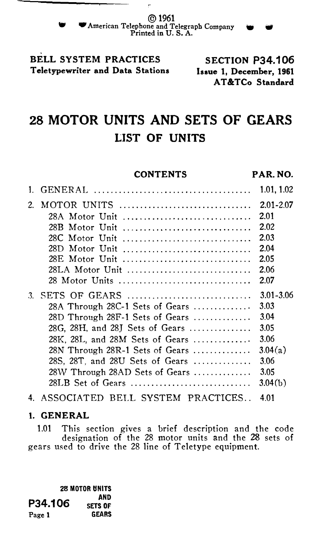BELL SYSTEM PRACTICES Teletypewriter and Data Stations

SECTION P34.106 Issue 1, December, 1961 AT &TCo Standard

# 28 MOTOR UNITS AND SETS OF GEARS LIST OF UNITS

### **CONTENTS**

#### PAR. NO.

|    |                                  | 1.01, 1.02            |
|----|----------------------------------|-----------------------|
|    | 2. MOTOR UNITS<br>28A Motor Unit | $2.01 - 2.07$<br>2.01 |
|    | 28B Motor Unit                   | 2.02                  |
|    | 28C Motor Unit                   | 2.03                  |
|    | 28D Motor Unit                   | 2.04                  |
|    | 28E Motor Unit                   | 2.05                  |
|    | 28LA Motor Unit                  | 2.06                  |
|    | 28 Motor Units                   | 2.07                  |
| 3. | SETS OF GEARS                    | $3.01 - 3.06$         |
|    | 28A Through 28C-1 Sets of Gears  | 3.03                  |
|    | 28D Through 28F-1 Sets of Gears  | 3.04                  |
|    | 28G, 28H, and 28J Sets of Gears  | 3.05                  |
|    | 28K, 28L, and 28M Sets of Gears  | 3.06                  |
|    | 28N Through 28R-1 Sets of Gears  | 3.04(a)               |
|    | 28S, 28T, and 28U Sets of Gears  | 3.06                  |
|    | 28W Through 28AD Sets of Gears   | 3.05                  |
|    | 28LB Set of Gears                | 3.04(b)               |
|    |                                  |                       |

4. ASSOCIATED BELL SYSTEM PRACTICES .. 4.01

## 1. GENERAL

1.01 This section gives a brief description and the code designation of the 28 motor units and the 28 sets of gears used to drive the 28 line of Teletype equipment.

28 MOTOR UNITS AND<br>P34.106 SETS OF Page 1 GEARS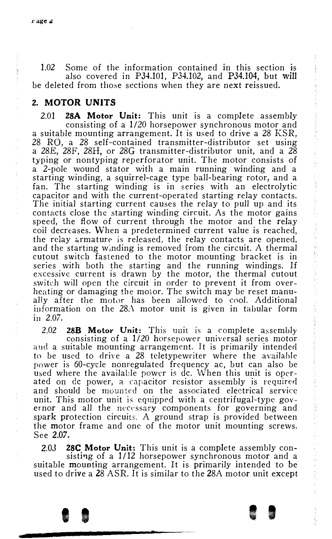1.02 Some of the information contained in this section is also covered in P34.101, P34.102, and P34.104, but will be deleted from those sections when they are next reissued.

## 2. MOTOR UNITS

2.01 28A Motor Unit: This unit is a complete assembly consisting of a 1/20 horsepower synchronous motor and a suitable mounting arrangement. It is used to drive a 28 KSR, 28 RO, a 28 self-contained transmitter-distributor set using a 28E, 28F, 28H, or 28G transmitter-distributor unit, and a 28 typing or nontyping reperforator unit. The motor consists of a 2-pole wound stator with a main running winding and a starting winding, a squirrel-cage type ball-bearing rotor, and a fan. The starting winding is in series with an electrolytic capacitor and with the current-opera ted starting relay contacts. The initial starting current causes the relay to pull up and its contacts close the starting winding circuit. As the motor gains speed, the flow of current through the motor and the relay coil decreases. \Vhen a predetermined current value is reached, the relay armature is released, the relay contacts are opened, and the starting winding is removed from the circuit. A thermal cutout switch fastened to the motor mounting bracket is in series with both the starting and the running windings. If excessive current is drawn by the motor, the thermal cutout switch will open the circuit in order to prevent it from overheating or damaging the motor. The switch may be reset manually after the motor has been allowed to cool. Additional information on the 28A motor unit is given in tabular form in 2.07.

2.02 28B Motor Unit: This unit is a complete assembly consisting of a 1/20 horsepc1wer universal series motor and a suitable mounting arrangement. It is primarily intended to be used to drive a 28 teletypewriter where the available power is 60-cycle nonregulated frequency ac, but can also be used where the available power is de. When this unit is operated on de power, a capacitor resistor assembly is required and should be mounted on the associated electrical service unit. This motor unit is equipped with a centrifugal-type governor and all the necessary components for governing and spark protection circuits. A ground strap is provided between the motor frame and one of the motor unit mounting screws. See 2.07.

2.03 28C Motor Unit: This unit is a complete assembly consisting of a 1/12 horsepower synchronous motor and a suitable mounting arrangement. It is primarily intended to be used to drive a 28 ASR. It is similar to the 28A motor unit except

I I I I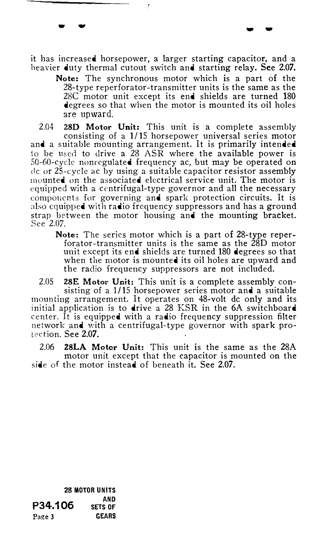it has increased horsepower, a larger starting capacitor, and a heavier duty thermal cutout switch and starting relay. See 2.07.

... ... ... ... ... ... ... ... ... ... ... ... ... ... ... ... ... ... ... ... ... ... ... ... ... ... ... ... ... ... ... ... ... ... ... ... ... ... ... ... ... ... ... ... ... ... ... ... ... ... ... ... ... ... ... ...

Note: The synchronous motor which is a part of the 28-type reperforator-transmitter units is the same as the 28C motor unit except its end shields are turned 180 degrees so that when the motor is mounted its oil holes are upward.

2.04 28D Motor Unit: This unit is a complete assembly consisting of a 1/15 horsepower universal series motor and a suitable mounting arrangement. It is primarily intended to be used to drive a 28 ASR where the available power is 50-60-cyclc nonrcgulated frequency ac, but may be operated on de or 25-cyclc ac by using a suitable capacitor resistor assembly mounted on the associated electrical service unit. The motor is equipped with a centrifugal-type governor and all the necessary components for governing and spark protection circuits. It is also equipped with radio frequency suppressors and has a ground strap between the motor housing and the mounting bracket. See 2.07.

Note: The series motor which is a part of 28-type reperforator-transmitter units is the same as the 28D motor unit except its end shields are turned 180 degrees so that when the motor is mounted its oil holes are upward and the radio frequency suppressors are not included.

2.05 28E Motor Unit: This unit is a complete assembly consisting of a  $1/15$  horsepower series motor and a suitable mounting arrangement. It operates on 48-volt de only and its initial application is to drive a 28 KSR in the 6A switchboard center. It is equipped with a radio frequency suppression filter network and with a centrifugal-type governor with spark protection. See 2.07.

2.06 28LA Motor Unit: This unit is the same as the 28A motor unit except that the capacitor is mounted on the side of the motor instead of beneath it. See 2.07.

28 MOTOR UNITS AND<br>P34.106 SETS OF Page 3 GEARS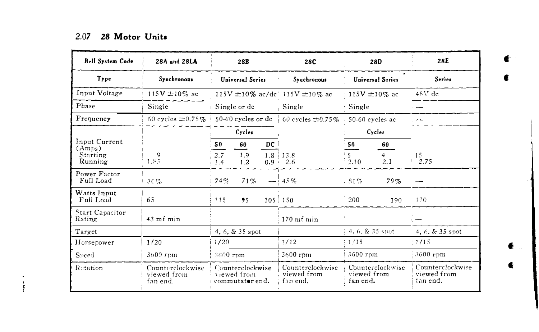| <b>Bell System Code</b>   | 28A and 28LA                                |            | 28B                                                |                         | 28C                                         |                         | 28D                     | 28E                                         |
|---------------------------|---------------------------------------------|------------|----------------------------------------------------|-------------------------|---------------------------------------------|-------------------------|-------------------------|---------------------------------------------|
| Type                      | Svnchronous                                 |            | <b>Universal Series</b>                            |                         | Svachronous                                 |                         | <b>Universal Series</b> | <b>Series</b>                               |
| Input Voltage             | 115 $V \pm 10\%$ ac                         |            |                                                    |                         | 115V $\pm$ 10% ac/dc 115V $\pm$ 10% ac      |                         | 115V $\pm 10\%$ ac      | $48V$ dc                                    |
| Phase                     | Single                                      |            | Single or de                                       |                         | Single                                      | Single                  |                         |                                             |
| Frequency                 | 60 cycles $\pm 0.75\%$                      |            | 50-60 cycles or de                                 |                         | 60 cycles $\pm 0.75\%$                      |                         | 50-60 eveles ac         | --                                          |
|                           |                                             |            | Cycles                                             |                         |                                             |                         | Cycles                  |                                             |
| Input Current<br>(Amps)   |                                             | 50         | 60                                                 | DC                      |                                             | 50                      | 60                      |                                             |
| Starting<br>Running       | 9<br>1.85                                   | 2.7<br>1.4 | 1.9<br>1.2                                         | 1.8 <sup>1</sup><br>0.9 | 13.8<br>2.6                                 | 5<br>2.10               | 4<br>2.1                | 15<br>2.75                                  |
| Power Factor<br>Full Load | 30%                                         | 74%        | 71%                                                |                         | $-1.45%$                                    | $81\%$                  | 79%                     |                                             |
| Watts Input<br>Full Load  | 65                                          | 115        | 95                                                 |                         | $105 \pm 150$                               | 200                     | 190                     | 130                                         |
| Start Capacitor<br>Rating | $43$ mf min                                 |            |                                                    |                         | $170$ mf min                                |                         |                         |                                             |
| Target                    |                                             |            | 4, 6, $\&$ 35 spot                                 |                         |                                             | 4, 6, $\&$ 35 spot      |                         | $4, 6, 8, 35$ spot                          |
| Horsepower                | 1/20                                        | 1/20       |                                                    |                         | 1/12                                        | 1/15                    |                         | (1/15)                                      |
| Speed                     | $3600$ rpm                                  | 3600 rpm   |                                                    |                         | 3600 rpm                                    | 3600 rpm                |                         | 3600 rpm                                    |
| Rotation                  | Counterclockwise<br>viewed from<br>fan end. |            | Counterclockwise<br>viewed from<br>commutator end. |                         | Counterclockwise<br>viewed from<br>fan end. | viewed from<br>fan end. | Counterclockwise        | Counterclockwise<br>viewed from<br>fan end. |

 $-$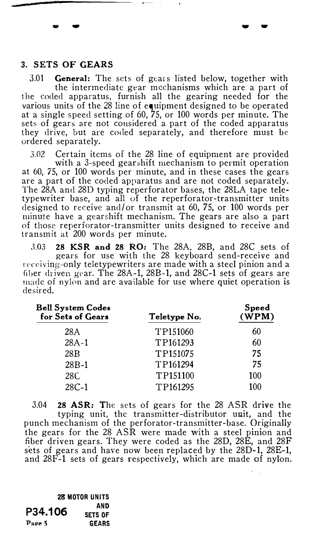#### 3. SETS OF GEARS

... ...

 $3.01$  General: The sets of gears listed below, together with the intermediate gear mechanisms which are a part of the coded apparatus, furnish all the gearing needed for the various units of the 28 line of equipment designed to be operated at a single speed setting of 60, 75, or 100 words per minute. The sets of gears are not considered a part of the coded apparatus they drive, but are coded separately, and therefore must be ordered separately.

-...

3.02 Certain items of the 28 line of equipment are provided with a 3-speed gearshift mechanism to permit operation at 60, 75, or 100 words per minute, and in these cases the gears are a part of the coded apparatus and are not coded separately. The 28A and 28D typing reperforator bases, the 28LA tape teletypewriter base, and all of the reperforator-transmitter units designed to receive and/ or transmit at 60, 75, or 100 words per minute have a gearshift mechanism. The gears are also a part of those reperforator-transmitter units designed to receive and transmit at 200 words per minute.

3.03 28 KSR and 28 RO: The 28A, 28B, and 28C sets of gears for use with the 28 keyboard send-receive and receiving-only teletypewriters are made with a steel pinion and a fiber driven gear. The 28A-1, 28B-1, and 28C-1 sets of gears are made of nylon and are available for use where quiet operation is desired.

| <b>Bell System Codes</b><br>for Sets of Gears | Teletype No. | Speed<br>(WPM) |  |
|-----------------------------------------------|--------------|----------------|--|
| 28A                                           | TP151060     | 60             |  |
| $28A-1$                                       | TP161293     | 60             |  |
| 28 <sub>R</sub>                               | TP151075     | 75             |  |
| $28B-1$                                       | TP161294     | 75             |  |
| 28C                                           | TP151100     | 100            |  |
| $28C-1$                                       | TP161295     | 100            |  |

3.04 28 ASR: The sets of gears for the 28 ASR drive the typing unit, the transmitter-distributor unit, and the punch mechanism of the perforator-transmitter-base. Originally the gears for the 28 ASR were made with a steel pinion and fiber driven gears. They were coded as the 28D, 28E, and 28F sets of gears and have now been replaced by the 28D-1, 28E-1, and 28F-1 sets of gears respectively, which are made of nylon.

28 MOTOR UNITS AND SETS OF GEARS P34.106 Page 5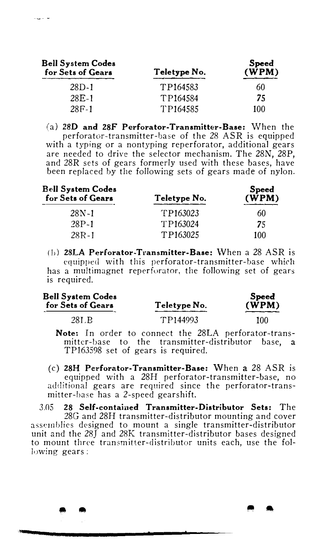| <b>Bell System Codes</b><br>for Sets of Gears | Teletype No. | <b>Speed</b><br>(WPM) |  |
|-----------------------------------------------|--------------|-----------------------|--|
| $28D-1$                                       | TP164583     | 60                    |  |
| $28F - 1$                                     | TP164584     | 75                    |  |
| $28F-1$                                       | TP164585     | 100                   |  |

 $\alpha_{\rm eff} = 1$ 

(a) 28D and 28F Perforator-Transmitter-Base: When the perforator-transmitter-base of the 28 ASR is equipped with a typing or a nontyping reperforator, additional gears are needed to drive the selector mechanism. The 28N, 28P, and 28R sets of gears formerly used with these bases, have been replaced by the following sets of gears made of nylon.

| <b>Bell System Codes</b><br>for Sets of Gears | Teletype No. | <b>Speed</b><br>(WPM) |
|-----------------------------------------------|--------------|-----------------------|
| 28N-1                                         | TP163023     | 60                    |
| 28P-1                                         | TP163024     | 75                    |
| $28R - 1$                                     | TP163025     | 100                   |

 $(b)$  28LA Perforator-Transmitter-Base: When a 28 ASR is equipped with this perforator-transmitter-base which has a multimagnet reperforator, the following set of gears is required.

| <b>Bell System Codes</b><br>for Sets of Gears | Teletype No. | Speed<br>$(\mathbf{W} \mathbf{P} \mathbf{M})$ |  |
|-----------------------------------------------|--------------|-----------------------------------------------|--|
| 28L <sub>B</sub>                              | TP144993     | 100                                           |  |

Note: In order to connect the 28LA perforator-transmitter-base to the transmitter-distributor base, a TP163598 set of gears is required.

(c) 28H Perforator-Transmitter-Base: \Vhen a 28 ASR is equipped with a 28H perforator-transmitter-base, no additional gears are required since the perforator-transmitter-base has a 2-speed gearshift.

3.05 28 Self-contained Transmitter-Distributor Sets: The 28G and 28H transmitter-distributor mounting and cover assemblies designed to mount a single transmitter-distributor unit and the 28J and 28K transmitter-distributor bases designed to mount three transmitter-distributor units each, use the following gears :

• • . ..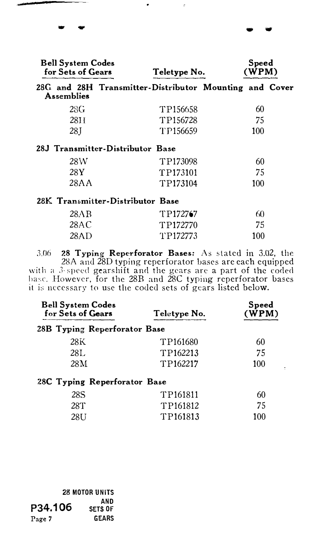| <b>Bell System Codes</b><br>for Sets of Gears |            | Teletype No.                                           |     | Speed<br>(WPM) |  |
|-----------------------------------------------|------------|--------------------------------------------------------|-----|----------------|--|
|                                               | Assemblies | 28G and 28H Transmitter-Distributor Mounting and Cover |     |                |  |
|                                               | 28G        | TP156658                                               | 60  |                |  |
|                                               | 28H        | TP156728                                               | 75  |                |  |
|                                               | 28 I       | TP156659                                               | 100 |                |  |
|                                               |            | 28J Transmitter-Distributor Base                       |     |                |  |
|                                               | 28W        | TP173098                                               | 60  |                |  |
|                                               | 28Y        | TP173101                                               | 75  |                |  |
|                                               | 28AA       | TP173104                                               | 100 |                |  |
|                                               |            | 28K Transmitter-Distributor Base                       |     |                |  |
|                                               | 20 Y D     | エロ172747                                               | £Ω  |                |  |

.. ""

| 28AB | TP172767 | 60  |
|------|----------|-----|
| 28AC | TP172770 | 75  |
| 28AD | TP172773 | 100 |

 $3.06$  28 Typing Reperforator Bases: As stated in 3.02, the 28A and 28D typing reperforator bases are each equipped with a 3-speed gearshift and the gears are a part of the coded hase, However, for the 28B and 28C typing reperforator bases it is necessary to usc the coded sets of gears listed below.

| <b>Bell System Codes</b><br>for Sets of Gears | Teletype No. | Speed<br>(WPM) |  |
|-----------------------------------------------|--------------|----------------|--|
| 28B Typing Reperforator Base                  |              |                |  |
| 28K                                           | TP161680     | 60             |  |
| 28L                                           | TP162213     | 75             |  |
| 28M                                           | TP162217     | 100            |  |
| 28C Typing Reperforator Base                  |              |                |  |
| 28S                                           | TP161811     | 60             |  |
| 28T                                           | TP161812     | 75             |  |

TP161813

100

 $\ddot{\phantom{a}}$ 

|         | <b>28 MOTOR UNITS</b> |  |  |
|---------|-----------------------|--|--|
| P34.106 | AND<br><b>SETS OF</b> |  |  |
| Page 7  | <b>GEARS</b>          |  |  |

28U

- ...